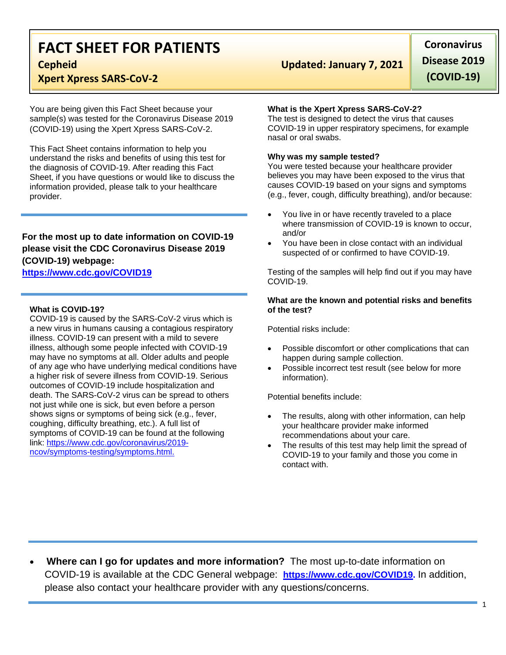# **FACT SHEET FOR PATIENTS**

# **Xpert Xpress SARS-CoV-2**

You are being given this Fact Sheet because your sample(s) was tested for the Coronavirus Disease 2019 (COVID-19) using the Xpert Xpress SARS-CoV-2.

This Fact Sheet contains information to help you understand the risks and benefits of using this test for the diagnosis of COVID-19. After reading this Fact Sheet, if you have questions or would like to discuss the information provided, please talk to your healthcare provider.

# **For the most up to date information on COVID-19 please visit the CDC Coronavirus Disease 2019 (COVID-19) webpage:**

### **[https://www.cdc.gov/COVID19](https://www.cdc.gov/nCoV)**

#### **What is COVID-19?**

COVID-19 is caused by the SARS-CoV-2 virus which is a new virus in humans causing a contagious respiratory illness. COVID-19 can present with a mild to severe illness, although some people infected with COVID-19 may have no symptoms at all. Older adults and people of any age who have underlying medical conditions have a higher risk of severe illness from COVID-19. Serious outcomes of COVID-19 include hospitalization and death. The SARS-CoV-2 virus can be spread to others not just while one is sick, but even before a person shows signs or symptoms of being sick (e.g., fever, coughing, difficulty breathing, etc.). A full list of symptoms of COVID-19 can be found at the following link: [https://www.cdc.gov/coronavirus/2019](https://www.cdc.gov/coronavirus/2019-ncov/symptoms-testing/symptoms.html) [ncov/symptoms-testing/symptoms.html.](https://www.cdc.gov/coronavirus/2019-ncov/symptoms-testing/symptoms.html)

# **Cepheid Updated: January 7, 2021**

**Coronavirus Disease 2019 (COVID-19)**

#### **What is the Xpert Xpress SARS-CoV-2?**

The test is designed to detect the virus that causes COVID-19 in upper respiratory specimens, for example nasal or oral swabs.

#### **Why was my sample tested?**

You were tested because your healthcare provider believes you may have been exposed to the virus that causes COVID-19 based on your signs and symptoms (e.g., fever, cough, difficulty breathing), and/or because:

- You live in or have recently traveled to a place where transmission of COVID-19 is known to occur, and/or
- You have been in close contact with an individual suspected of or confirmed to have COVID-19.

Testing of the samples will help find out if you may have COVID-19.

#### **What are the known and potential risks and benefits of the test?**

Potential risks include:

- Possible discomfort or other complications that can happen during sample collection.
- Possible incorrect test result (see below for more information).

Potential benefits include:

- The results, along with other information, can help your healthcare provider make informed recommendations about your care.
- The results of this test may help limit the spread of COVID-19 to your family and those you come in contact with.

• **Where can I go for updates and more information?** The most up-to-date information on COVID-19 is available at the CDC General webpage: **[https://www.cdc.gov/COVID19.](https://www.cdc.gov/nCoV)** In addition, please also contact your healthcare provider with any questions/concerns.